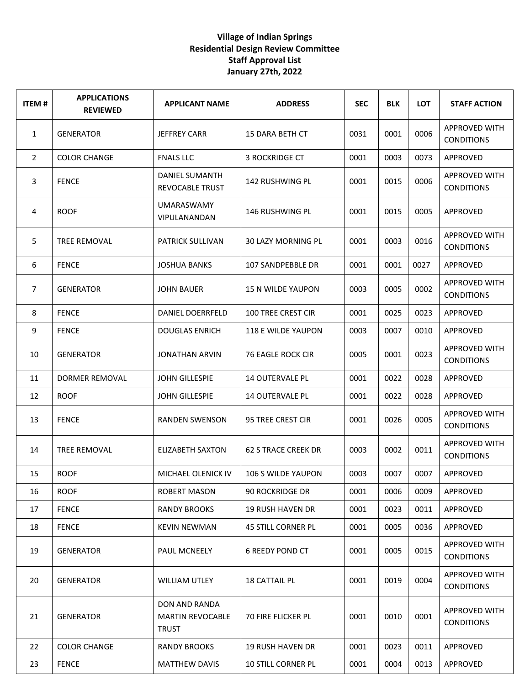## **Village of Indian Springs Residential Design Review Committee Staff Approval List January 27th, 2022**

| <b>ITEM#</b>   | <b>APPLICATIONS</b><br><b>REVIEWED</b> | <b>APPLICANT NAME</b>                                    | <b>ADDRESS</b>             | <b>SEC</b> | <b>BLK</b> | <b>LOT</b> | <b>STAFF ACTION</b>                       |
|----------------|----------------------------------------|----------------------------------------------------------|----------------------------|------------|------------|------------|-------------------------------------------|
| 1              | <b>GENERATOR</b>                       | JEFFREY CARR                                             | 15 DARA BETH CT            | 0031       | 0001       | 0006       | <b>APPROVED WITH</b><br><b>CONDITIONS</b> |
| $\overline{2}$ | <b>COLOR CHANGE</b>                    | <b>FNALS LLC</b>                                         | <b>3 ROCKRIDGE CT</b>      | 0001       | 0003       | 0073       | APPROVED                                  |
| 3              | <b>FENCE</b>                           | DANIEL SUMANTH<br><b>REVOCABLE TRUST</b>                 | 142 RUSHWING PL            | 0001       | 0015       | 0006       | <b>APPROVED WITH</b><br><b>CONDITIONS</b> |
| 4              | <b>ROOF</b>                            | <b>UMARASWAMY</b><br>VIPULANANDAN                        | 146 RUSHWING PL            | 0001       | 0015       | 0005       | APPROVED                                  |
| 5              | TREE REMOVAL                           | <b>PATRICK SULLIVAN</b>                                  | 30 LAZY MORNING PL         | 0001       | 0003       | 0016       | <b>APPROVED WITH</b><br><b>CONDITIONS</b> |
| 6              | <b>FENCE</b>                           | <b>JOSHUA BANKS</b>                                      | 107 SANDPEBBLE DR          | 0001       | 0001       | 0027       | APPROVED                                  |
| 7              | <b>GENERATOR</b>                       | <b>JOHN BAUER</b>                                        | <b>15 N WILDE YAUPON</b>   | 0003       | 0005       | 0002       | <b>APPROVED WITH</b><br><b>CONDITIONS</b> |
| 8              | <b>FENCE</b>                           | DANIEL DOERRFELD                                         | <b>100 TREE CREST CIR</b>  | 0001       | 0025       | 0023       | APPROVED                                  |
| 9              | <b>FENCE</b>                           | <b>DOUGLAS ENRICH</b>                                    | 118 E WILDE YAUPON         | 0003       | 0007       | 0010       | APPROVED                                  |
| 10             | <b>GENERATOR</b>                       | JONATHAN ARVIN                                           | 76 EAGLE ROCK CIR          | 0005       | 0001       | 0023       | <b>APPROVED WITH</b><br><b>CONDITIONS</b> |
| 11             | DORMER REMOVAL                         | <b>JOHN GILLESPIE</b>                                    | <b>14 OUTERVALE PL</b>     | 0001       | 0022       | 0028       | APPROVED                                  |
| 12             | <b>ROOF</b>                            | JOHN GILLESPIE                                           | <b>14 OUTERVALE PL</b>     | 0001       | 0022       | 0028       | APPROVED                                  |
| 13             | <b>FENCE</b>                           | RANDEN SWENSON                                           | 95 TREE CREST CIR          | 0001       | 0026       | 0005       | <b>APPROVED WITH</b><br><b>CONDITIONS</b> |
| 14             | <b>TREE REMOVAL</b>                    | <b>ELIZABETH SAXTON</b>                                  | <b>62 S TRACE CREEK DR</b> | 0003       | 0002       | 0011       | APPROVED WITH<br><b>CONDITIONS</b>        |
| 15             | <b>ROOF</b>                            | MICHAEL OLENICK IV                                       | 106 S WILDE YAUPON         | 0003       | 0007       | 0007       | <b>APPROVED</b>                           |
| 16             | <b>ROOF</b>                            | <b>ROBERT MASON</b>                                      | <b>90 ROCKRIDGE DR</b>     | 0001       | 0006       | 0009       | APPROVED                                  |
| 17             | <b>FENCE</b>                           | <b>RANDY BROOKS</b>                                      | <b>19 RUSH HAVEN DR</b>    | 0001       | 0023       | 0011       | APPROVED                                  |
| 18             | <b>FENCE</b>                           | <b>KEVIN NEWMAN</b>                                      | <b>45 STILL CORNER PL</b>  | 0001       | 0005       | 0036       | APPROVED                                  |
| 19             | <b>GENERATOR</b>                       | PAUL MCNEELY                                             | <b>6 REEDY POND CT</b>     | 0001       | 0005       | 0015       | <b>APPROVED WITH</b><br><b>CONDITIONS</b> |
| 20             | <b>GENERATOR</b>                       | <b>WILLIAM UTLEY</b>                                     | <b>18 CATTAIL PL</b>       | 0001       | 0019       | 0004       | <b>APPROVED WITH</b><br><b>CONDITIONS</b> |
| 21             | <b>GENERATOR</b>                       | DON AND RANDA<br><b>MARTIN REVOCABLE</b><br><b>TRUST</b> | <b>70 FIRE FLICKER PL</b>  | 0001       | 0010       | 0001       | <b>APPROVED WITH</b><br><b>CONDITIONS</b> |
| 22             | <b>COLOR CHANGE</b>                    | <b>RANDY BROOKS</b>                                      | <b>19 RUSH HAVEN DR</b>    | 0001       | 0023       | 0011       | APPROVED                                  |
| 23             | <b>FENCE</b>                           | <b>MATTHEW DAVIS</b>                                     | 10 STILL CORNER PL         | 0001       | 0004       | 0013       | APPROVED                                  |